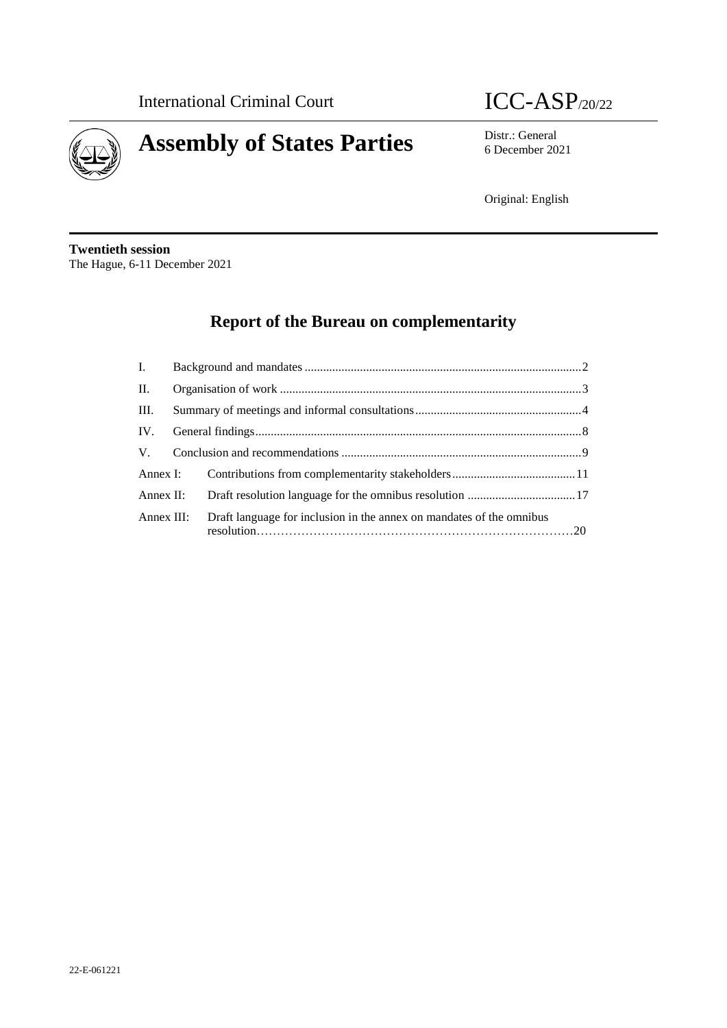



6 December 2021

Original: English

**Twentieth session** The Hague, 6-11 December 2021

# **Report of the Bureau on complementarity**

| П.   |                                                                                 |  |
|------|---------------------------------------------------------------------------------|--|
| III. |                                                                                 |  |
|      |                                                                                 |  |
|      |                                                                                 |  |
|      |                                                                                 |  |
|      |                                                                                 |  |
|      | Annex III: Draft language for inclusion in the annex on mandates of the omnibus |  |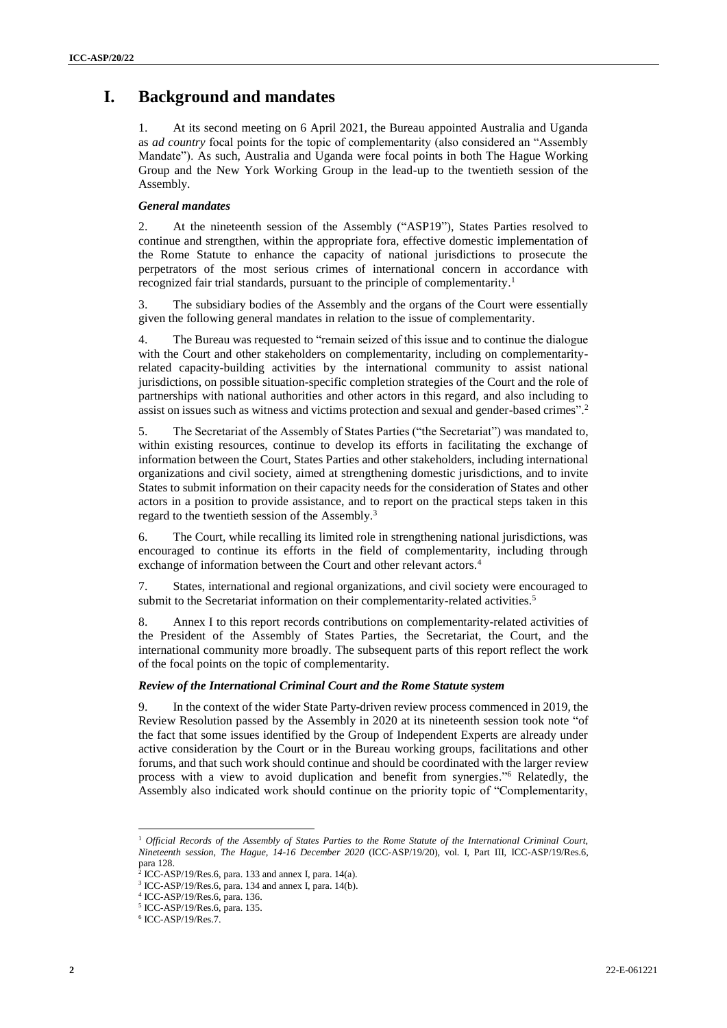# **I. Background and mandates**

1. At its second meeting on 6 April 2021, the Bureau appointed Australia and Uganda as *ad country* focal points for the topic of complementarity (also considered an "Assembly Mandate"). As such, Australia and Uganda were focal points in both The Hague Working Group and the New York Working Group in the lead-up to the twentieth session of the Assembly.

### *General mandates*

2. At the nineteenth session of the Assembly ("ASP19"), States Parties resolved to continue and strengthen, within the appropriate fora, effective domestic implementation of the Rome Statute to enhance the capacity of national jurisdictions to prosecute the perpetrators of the most serious crimes of international concern in accordance with recognized fair trial standards, pursuant to the principle of complementarity. 1

3. The subsidiary bodies of the Assembly and the organs of the Court were essentially given the following general mandates in relation to the issue of complementarity.

4. The Bureau was requested to "remain seized of this issue and to continue the dialogue with the Court and other stakeholders on complementarity, including on complementarityrelated capacity-building activities by the international community to assist national jurisdictions, on possible situation-specific completion strategies of the Court and the role of partnerships with national authorities and other actors in this regard, and also including to assist on issues such as witness and victims protection and sexual and gender-based crimes".<sup>2</sup>

5. The Secretariat of the Assembly of States Parties ("the Secretariat") was mandated to, within existing resources, continue to develop its efforts in facilitating the exchange of information between the Court, States Parties and other stakeholders, including international organizations and civil society, aimed at strengthening domestic jurisdictions, and to invite States to submit information on their capacity needs for the consideration of States and other actors in a position to provide assistance, and to report on the practical steps taken in this regard to the twentieth session of the Assembly.<sup>3</sup>

6. The Court, while recalling its limited role in strengthening national jurisdictions, was encouraged to continue its efforts in the field of complementarity, including through exchange of information between the Court and other relevant actors.<sup>4</sup>

7. States, international and regional organizations, and civil society were encouraged to submit to the Secretariat information on their complementarity-related activities.<sup>5</sup>

8. Annex I to this report records contributions on complementarity-related activities of the President of the Assembly of States Parties, the Secretariat, the Court, and the international community more broadly. The subsequent parts of this report reflect the work of the focal points on the topic of complementarity.

#### *Review of the International Criminal Court and the Rome Statute system*

9. In the context of the wider State Party-driven review process commenced in 2019, the Review Resolution passed by the Assembly in 2020 at its nineteenth session took note "of the fact that some issues identified by the Group of Independent Experts are already under active consideration by the Court or in the Bureau working groups, facilitations and other forums, and that such work should continue and should be coordinated with the larger review process with a view to avoid duplication and benefit from synergies." <sup>6</sup> Relatedly, the Assembly also indicated work should continue on the priority topic of "Complementarity,

l

<sup>1</sup> *Official Records of the Assembly of States Parties to the Rome Statute of the International Criminal Court, Nineteenth session, The Hague, 14-16 December 2020* (ICC-ASP/19/20), vol. I, Part III, ICC-ASP/19/Res.6,

para 128.<br><sup>2</sup> ICC AS

ICC-ASP/19/Res.6, para. 133 and annex I, para. 14(a). <sup>3</sup> ICC-ASP/19/Res.6, para. 134 and annex I, para. 14(b).

<sup>4</sup> ICC-ASP/19/Res.6, para. 136.

<sup>5</sup> ICC-ASP/19/Res.6, para. 135.

<sup>6</sup> ICC-ASP/19/Res.7.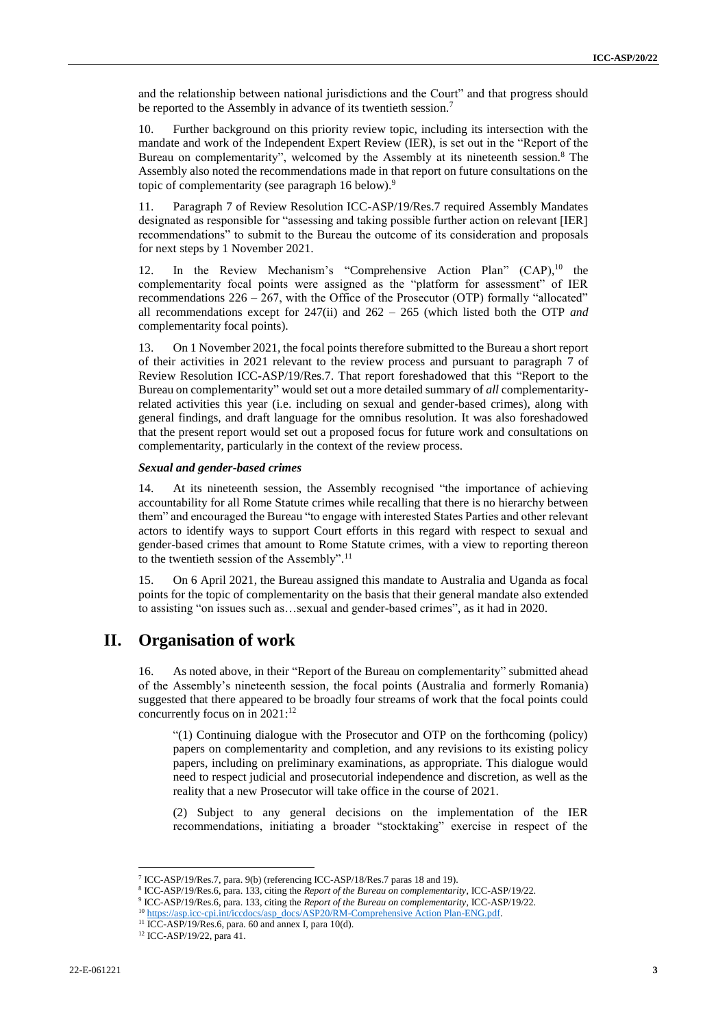and the relationship between national jurisdictions and the Court" and that progress should be reported to the Assembly in advance of its twentieth session.<sup>7</sup>

10. Further background on this priority review topic, including its intersection with the mandate and work of the Independent Expert Review (IER), is set out in the "Report of the Bureau on complementarity", welcomed by the Assembly at its nineteenth session.<sup>8</sup> The Assembly also noted the recommendations made in that report on future consultations on the topic of complementarity (see paragraph 16 below).<sup>9</sup>

11. Paragraph 7 of Review Resolution ICC-ASP/19/Res.7 required Assembly Mandates designated as responsible for "assessing and taking possible further action on relevant [IER] recommendations" to submit to the Bureau the outcome of its consideration and proposals for next steps by 1 November 2021.

12. In the Review Mechanism's "Comprehensive Action Plan" (CAP),<sup>10</sup> the complementarity focal points were assigned as the "platform for assessment" of IER recommendations  $226 - 267$ , with the Office of the Prosecutor (OTP) formally "allocated" all recommendations except for 247(ii) and 262 – 265 (which listed both the OTP *and* complementarity focal points).

13. On 1 November 2021, the focal points therefore submitted to the Bureau a short report of their activities in 2021 relevant to the review process and pursuant to paragraph 7 of Review Resolution ICC-ASP/19/Res.7. That report foreshadowed that this "Report to the Bureau on complementarity" would set out a more detailed summary of *all* complementarityrelated activities this year (i.e. including on sexual and gender-based crimes), along with general findings, and draft language for the omnibus resolution. It was also foreshadowed that the present report would set out a proposed focus for future work and consultations on complementarity, particularly in the context of the review process.

#### *Sexual and gender-based crimes*

14. At its nineteenth session, the Assembly recognised "the importance of achieving accountability for all Rome Statute crimes while recalling that there is no hierarchy between them" and encouraged the Bureau "to engage with interested States Parties and other relevant actors to identify ways to support Court efforts in this regard with respect to sexual and gender-based crimes that amount to Rome Statute crimes, with a view to reporting thereon to the twentieth session of the Assembly". 11

15. On 6 April 2021, the Bureau assigned this mandate to Australia and Uganda as focal points for the topic of complementarity on the basis that their general mandate also extended to assisting "on issues such as…sexual and gender-based crimes", as it had in 2020.

### **II. Organisation of work**

16. As noted above, in their "Report of the Bureau on complementarity" submitted ahead of the Assembly's nineteenth session, the focal points (Australia and formerly Romania) suggested that there appeared to be broadly four streams of work that the focal points could concurrently focus on in 2021: 12

"(1) Continuing dialogue with the Prosecutor and OTP on the forthcoming (policy) papers on complementarity and completion, and any revisions to its existing policy papers, including on preliminary examinations, as appropriate. This dialogue would need to respect judicial and prosecutorial independence and discretion, as well as the reality that a new Prosecutor will take office in the course of 2021.

(2) Subject to any general decisions on the implementation of the IER recommendations, initiating a broader "stocktaking" exercise in respect of the

 $\overline{a}$ 

<sup>7</sup> ICC-ASP/19/Res.7, para. 9(b) (referencing ICC-ASP/18/Res.7 paras 18 and 19).

<sup>8</sup> ICC-ASP/19/Res.6, para. 133, citing the *Report of the Bureau on complementarity*, ICC-ASP/19/22.

<sup>9</sup> ICC-ASP/19/Res.6, para. 133, citing the *Report of the Bureau on complementarity*, ICC-ASP/19/22.

<sup>&</sup>lt;sup>10</sup> [https://asp.icc-cpi.int/iccdocs/asp\\_docs/ASP20/RM-Comprehensive Action Plan-ENG.pdf.](https://asp.icc-cpi.int/iccdocs/asp_docs/ASP20/RM-Comprehensive%20Action%20Plan-ENG.pdf)

 $11$  ICC-ASP/19/Res.6, para. 60 and annex I, para 10(d).

<sup>12</sup> ICC-ASP/19/22, para 41.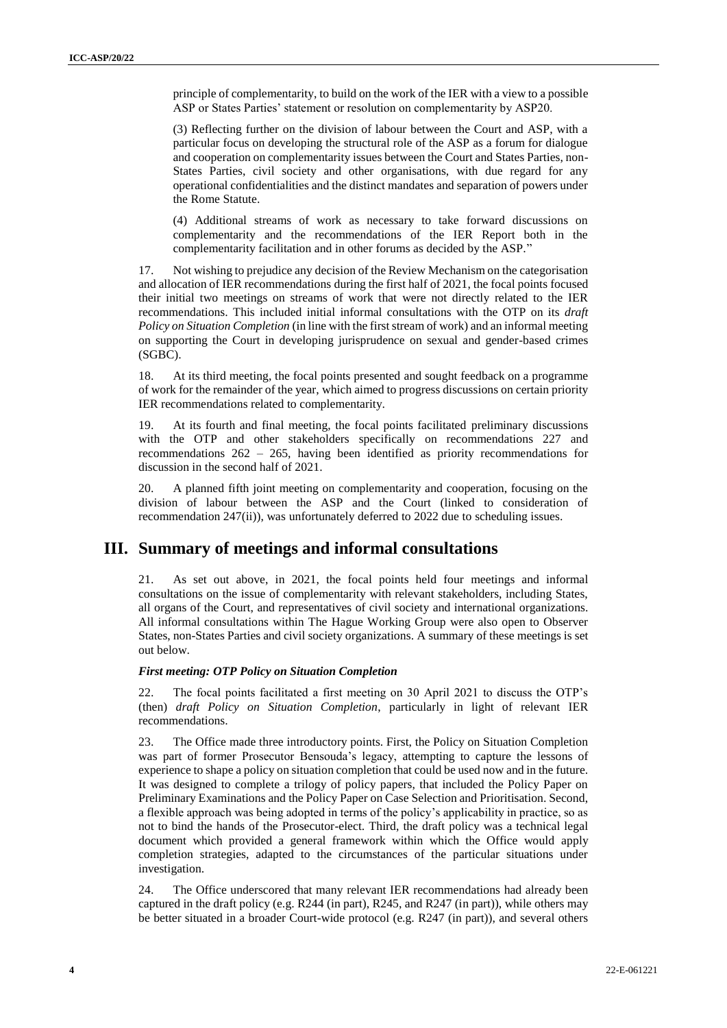principle of complementarity, to build on the work of the IER with a view to a possible ASP or States Parties' statement or resolution on complementarity by ASP20.

(3) Reflecting further on the division of labour between the Court and ASP, with a particular focus on developing the structural role of the ASP as a forum for dialogue and cooperation on complementarity issues between the Court and States Parties, non-States Parties, civil society and other organisations, with due regard for any operational confidentialities and the distinct mandates and separation of powers under the Rome Statute.

(4) Additional streams of work as necessary to take forward discussions on complementarity and the recommendations of the IER Report both in the complementarity facilitation and in other forums as decided by the ASP."

17. Not wishing to prejudice any decision of the Review Mechanism on the categorisation and allocation of IER recommendations during the first half of 2021, the focal points focused their initial two meetings on streams of work that were not directly related to the IER recommendations. This included initial informal consultations with the OTP on its *draft Policy on Situation Completion* (in line with the first stream of work) and an informal meeting on supporting the Court in developing jurisprudence on sexual and gender-based crimes (SGBC).

18. At its third meeting, the focal points presented and sought feedback on a programme of work for the remainder of the year, which aimed to progress discussions on certain priority IER recommendations related to complementarity.

19. At its fourth and final meeting, the focal points facilitated preliminary discussions with the OTP and other stakeholders specifically on recommendations 227 and recommendations 262 – 265, having been identified as priority recommendations for discussion in the second half of 2021.

20. A planned fifth joint meeting on complementarity and cooperation, focusing on the division of labour between the ASP and the Court (linked to consideration of recommendation 247(ii)), was unfortunately deferred to 2022 due to scheduling issues.

### **III. Summary of meetings and informal consultations**

21. As set out above, in 2021, the focal points held four meetings and informal consultations on the issue of complementarity with relevant stakeholders, including States, all organs of the Court, and representatives of civil society and international organizations. All informal consultations within The Hague Working Group were also open to Observer States, non-States Parties and civil society organizations. A summary of these meetings is set out below.

### *First meeting: OTP Policy on Situation Completion*

22. The focal points facilitated a first meeting on 30 April 2021 to discuss the OTP's (then) *draft Policy on Situation Completion*, particularly in light of relevant IER recommendations.

23. The Office made three introductory points. First, the Policy on Situation Completion was part of former Prosecutor Bensouda's legacy, attempting to capture the lessons of experience to shape a policy on situation completion that could be used now and in the future. It was designed to complete a trilogy of policy papers, that included the Policy Paper on Preliminary Examinations and the Policy Paper on Case Selection and Prioritisation. Second, a flexible approach was being adopted in terms of the policy's applicability in practice, so as not to bind the hands of the Prosecutor-elect. Third, the draft policy was a technical legal document which provided a general framework within which the Office would apply completion strategies, adapted to the circumstances of the particular situations under investigation.

24. The Office underscored that many relevant IER recommendations had already been captured in the draft policy (e.g. R244 (in part), R245, and R247 (in part)), while others may be better situated in a broader Court-wide protocol (e.g. R247 (in part)), and several others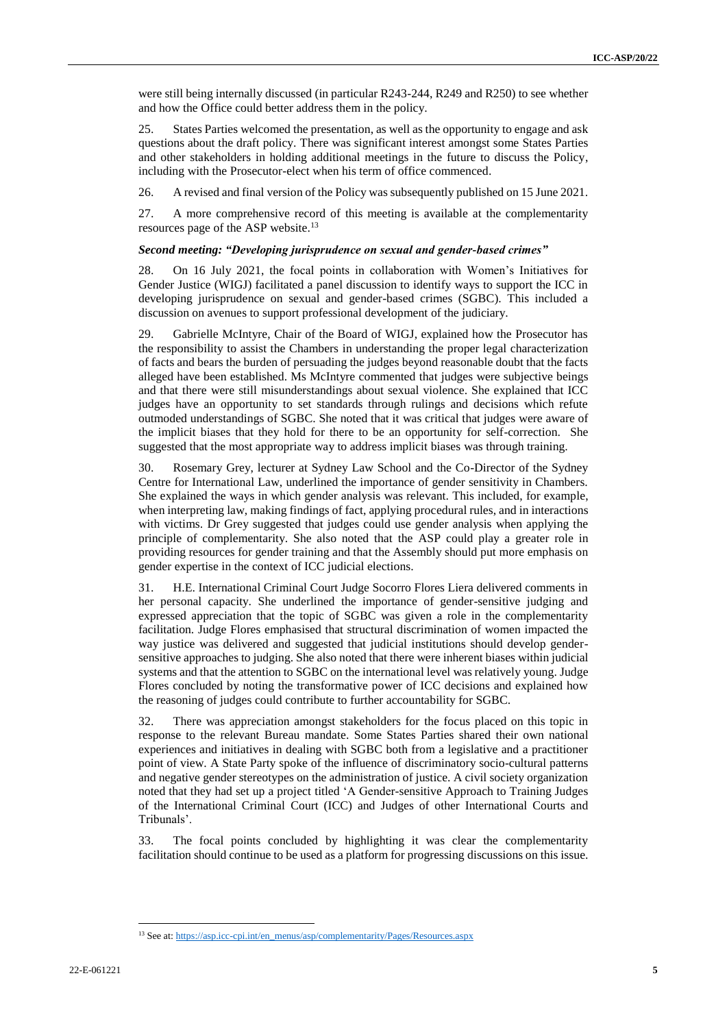were still being internally discussed (in particular R243-244, R249 and R250) to see whether and how the Office could better address them in the policy.

25. States Parties welcomed the presentation, as well as the opportunity to engage and ask questions about the draft policy. There was significant interest amongst some States Parties and other stakeholders in holding additional meetings in the future to discuss the Policy, including with the Prosecutor-elect when his term of office commenced.

26. A revised and final version of the Policy was subsequently published on 15 June 2021.

27. A more comprehensive record of this meeting is available at the complementarity resources page of the ASP website.<sup>13</sup>

#### *Second meeting: "Developing jurisprudence on sexual and gender-based crimes"*

28. On 16 July 2021, the focal points in collaboration with Women's Initiatives for Gender Justice (WIGJ) facilitated a panel discussion to identify ways to support the ICC in developing jurisprudence on sexual and gender-based crimes (SGBC). This included a discussion on avenues to support professional development of the judiciary.

29. Gabrielle McIntyre, Chair of the Board of WIGJ, explained how the Prosecutor has the responsibility to assist the Chambers in understanding the proper legal characterization of facts and bears the burden of persuading the judges beyond reasonable doubt that the facts alleged have been established. Ms McIntyre commented that judges were subjective beings and that there were still misunderstandings about sexual violence. She explained that ICC judges have an opportunity to set standards through rulings and decisions which refute outmoded understandings of SGBC. She noted that it was critical that judges were aware of the implicit biases that they hold for there to be an opportunity for self-correction. She suggested that the most appropriate way to address implicit biases was through training.

30. Rosemary Grey, lecturer at Sydney Law School and the Co-Director of the Sydney Centre for International Law, underlined the importance of gender sensitivity in Chambers. She explained the ways in which gender analysis was relevant. This included, for example, when interpreting law, making findings of fact, applying procedural rules, and in interactions with victims. Dr Grey suggested that judges could use gender analysis when applying the principle of complementarity. She also noted that the ASP could play a greater role in providing resources for gender training and that the Assembly should put more emphasis on gender expertise in the context of ICC judicial elections.

31. H.E. International Criminal Court Judge Socorro Flores Liera delivered comments in her personal capacity. She underlined the importance of gender-sensitive judging and expressed appreciation that the topic of SGBC was given a role in the complementarity facilitation. Judge Flores emphasised that structural discrimination of women impacted the way justice was delivered and suggested that judicial institutions should develop gendersensitive approaches to judging. She also noted that there were inherent biases within judicial systems and that the attention to SGBC on the international level was relatively young. Judge Flores concluded by noting the transformative power of ICC decisions and explained how the reasoning of judges could contribute to further accountability for SGBC.

32. There was appreciation amongst stakeholders for the focus placed on this topic in response to the relevant Bureau mandate. Some States Parties shared their own national experiences and initiatives in dealing with SGBC both from a legislative and a practitioner point of view. A State Party spoke of the influence of discriminatory socio-cultural patterns and negative gender stereotypes on the administration of justice. A civil society organization noted that they had set up a project titled 'A Gender-sensitive Approach to Training Judges of the International Criminal Court (ICC) and Judges of other International Courts and Tribunals'.

33. The focal points concluded by highlighting it was clear the complementarity facilitation should continue to be used as a platform for progressing discussions on this issue.

<sup>13</sup> See at[: https://asp.icc-cpi.int/en\\_menus/asp/complementarity/Pages/Resources.aspx](https://asp.icc-cpi.int/en_menus/asp/complementarity/Pages/Resources.aspx)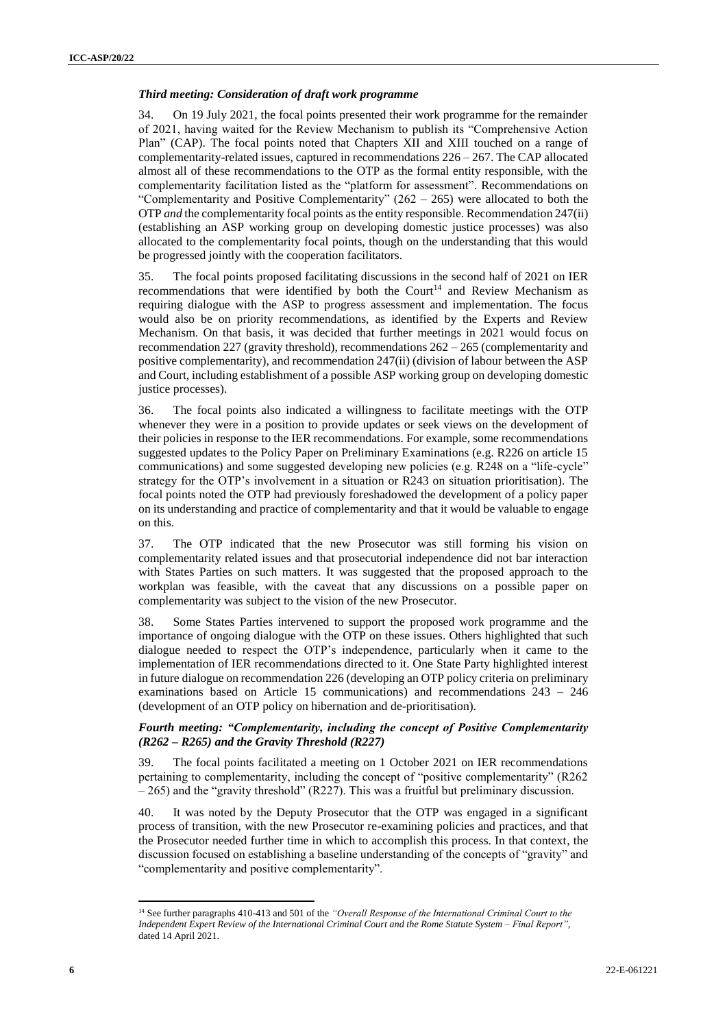#### *Third meeting: Consideration of draft work programme*

34. On 19 July 2021, the focal points presented their work programme for the remainder of 2021, having waited for the Review Mechanism to publish its "Comprehensive Action Plan" (CAP). The focal points noted that Chapters XII and XIII touched on a range of complementarity-related issues, captured in recommendations  $226 - 267$ . The CAP allocated almost all of these recommendations to the OTP as the formal entity responsible, with the complementarity facilitation listed as the "platform for assessment". Recommendations on "Complementarity and Positive Complementarity"  $(262 – 265)$  were allocated to both the OTP *and* the complementarity focal points as the entity responsible. Recommendation 247(ii) (establishing an ASP working group on developing domestic justice processes) was also allocated to the complementarity focal points, though on the understanding that this would be progressed jointly with the cooperation facilitators.

35. The focal points proposed facilitating discussions in the second half of 2021 on IER recommendations that were identified by both the Court<sup>14</sup> and Review Mechanism as requiring dialogue with the ASP to progress assessment and implementation. The focus would also be on priority recommendations, as identified by the Experts and Review Mechanism. On that basis, it was decided that further meetings in 2021 would focus on recommendation 227 (gravity threshold), recommendations 262 – 265 (complementarity and positive complementarity), and recommendation 247(ii) (division of labour between the ASP and Court, including establishment of a possible ASP working group on developing domestic justice processes).

36. The focal points also indicated a willingness to facilitate meetings with the OTP whenever they were in a position to provide updates or seek views on the development of their policies in response to the IER recommendations. For example, some recommendations suggested updates to the Policy Paper on Preliminary Examinations (e.g. R226 on article 15 communications) and some suggested developing new policies (e.g. R248 on a "life-cycle" strategy for the OTP's involvement in a situation or R243 on situation prioritisation). The focal points noted the OTP had previously foreshadowed the development of a policy paper on its understanding and practice of complementarity and that it would be valuable to engage on this.

37. The OTP indicated that the new Prosecutor was still forming his vision on complementarity related issues and that prosecutorial independence did not bar interaction with States Parties on such matters. It was suggested that the proposed approach to the workplan was feasible, with the caveat that any discussions on a possible paper on complementarity was subject to the vision of the new Prosecutor.

38. Some States Parties intervened to support the proposed work programme and the importance of ongoing dialogue with the OTP on these issues. Others highlighted that such dialogue needed to respect the OTP's independence, particularly when it came to the implementation of IER recommendations directed to it. One State Party highlighted interest in future dialogue on recommendation 226 (developing an OTP policy criteria on preliminary examinations based on Article 15 communications) and recommendations 243 – 246 (development of an OTP policy on hibernation and de-prioritisation).

### *Fourth meeting: "Complementarity, including the concept of Positive Complementarity (R262 – R265) and the Gravity Threshold (R227)*

39. The focal points facilitated a meeting on 1 October 2021 on IER recommendations pertaining to complementarity, including the concept of "positive complementarity" (R262 – 265) and the "gravity threshold" (R227). This was a fruitful but preliminary discussion.

40. It was noted by the Deputy Prosecutor that the OTP was engaged in a significant process of transition, with the new Prosecutor re-examining policies and practices, and that the Prosecutor needed further time in which to accomplish this process. In that context, the discussion focused on establishing a baseline understanding of the concepts of "gravity" and "complementarity and positive complementarity".

 $\overline{\phantom{a}}$ <sup>14</sup> See further paragraphs 410-413 and 501 of the *"Overall Response of the International Criminal Court to the Independent Expert Review of the International Criminal Court and the Rome Statute System – Final Report"*, dated 14 April 2021.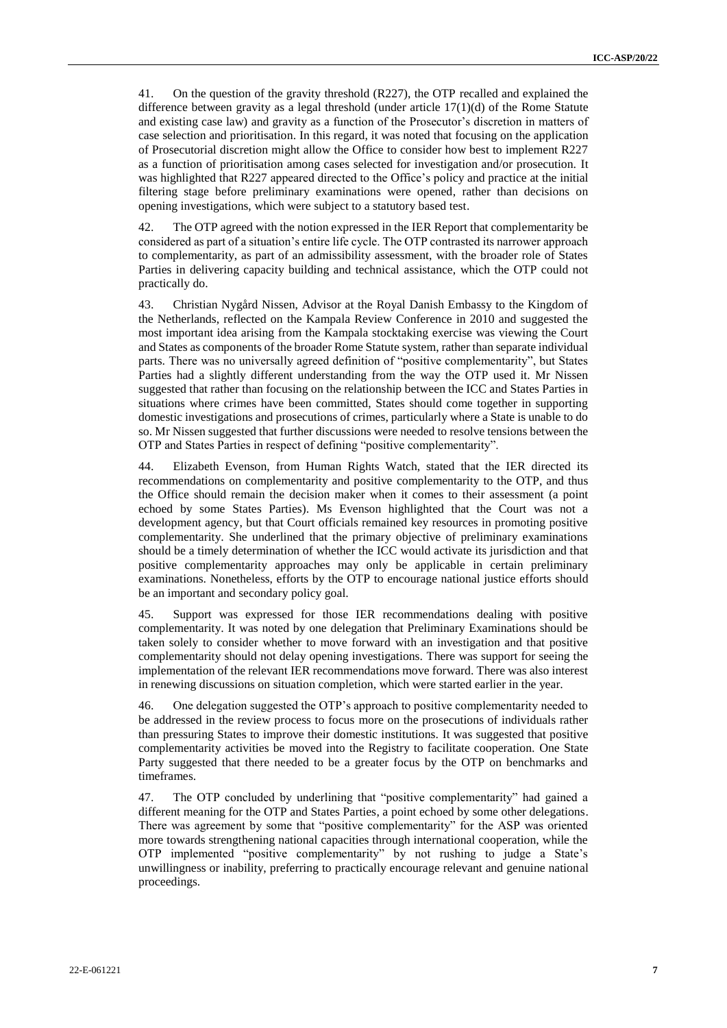41. On the question of the gravity threshold (R227), the OTP recalled and explained the difference between gravity as a legal threshold (under article  $17(1)(d)$  of the Rome Statute and existing case law) and gravity as a function of the Prosecutor's discretion in matters of case selection and prioritisation. In this regard, it was noted that focusing on the application of Prosecutorial discretion might allow the Office to consider how best to implement R227 as a function of prioritisation among cases selected for investigation and/or prosecution. It was highlighted that R227 appeared directed to the Office's policy and practice at the initial filtering stage before preliminary examinations were opened, rather than decisions on opening investigations, which were subject to a statutory based test.

42. The OTP agreed with the notion expressed in the IER Report that complementarity be considered as part of a situation's entire life cycle. The OTP contrasted its narrower approach to complementarity, as part of an admissibility assessment, with the broader role of States Parties in delivering capacity building and technical assistance, which the OTP could not practically do.

43. Christian Nygård Nissen, Advisor at the Royal Danish Embassy to the Kingdom of the Netherlands, reflected on the Kampala Review Conference in 2010 and suggested the most important idea arising from the Kampala stocktaking exercise was viewing the Court and States as components of the broader Rome Statute system, rather than separate individual parts. There was no universally agreed definition of "positive complementarity", but States Parties had a slightly different understanding from the way the OTP used it. Mr Nissen suggested that rather than focusing on the relationship between the ICC and States Parties in situations where crimes have been committed, States should come together in supporting domestic investigations and prosecutions of crimes, particularly where a State is unable to do so. Mr Nissen suggested that further discussions were needed to resolve tensions between the OTP and States Parties in respect of defining "positive complementarity".

44. Elizabeth Evenson, from Human Rights Watch, stated that the IER directed its recommendations on complementarity and positive complementarity to the OTP, and thus the Office should remain the decision maker when it comes to their assessment (a point echoed by some States Parties). Ms Evenson highlighted that the Court was not a development agency, but that Court officials remained key resources in promoting positive complementarity. She underlined that the primary objective of preliminary examinations should be a timely determination of whether the ICC would activate its jurisdiction and that positive complementarity approaches may only be applicable in certain preliminary examinations. Nonetheless, efforts by the OTP to encourage national justice efforts should be an important and secondary policy goal.

45. Support was expressed for those IER recommendations dealing with positive complementarity. It was noted by one delegation that Preliminary Examinations should be taken solely to consider whether to move forward with an investigation and that positive complementarity should not delay opening investigations. There was support for seeing the implementation of the relevant IER recommendations move forward. There was also interest in renewing discussions on situation completion, which were started earlier in the year.

46. One delegation suggested the OTP's approach to positive complementarity needed to be addressed in the review process to focus more on the prosecutions of individuals rather than pressuring States to improve their domestic institutions. It was suggested that positive complementarity activities be moved into the Registry to facilitate cooperation. One State Party suggested that there needed to be a greater focus by the OTP on benchmarks and timeframes.

47. The OTP concluded by underlining that "positive complementarity" had gained a different meaning for the OTP and States Parties, a point echoed by some other delegations. There was agreement by some that "positive complementarity" for the ASP was oriented more towards strengthening national capacities through international cooperation, while the OTP implemented "positive complementarity" by not rushing to judge a State's unwillingness or inability, preferring to practically encourage relevant and genuine national proceedings.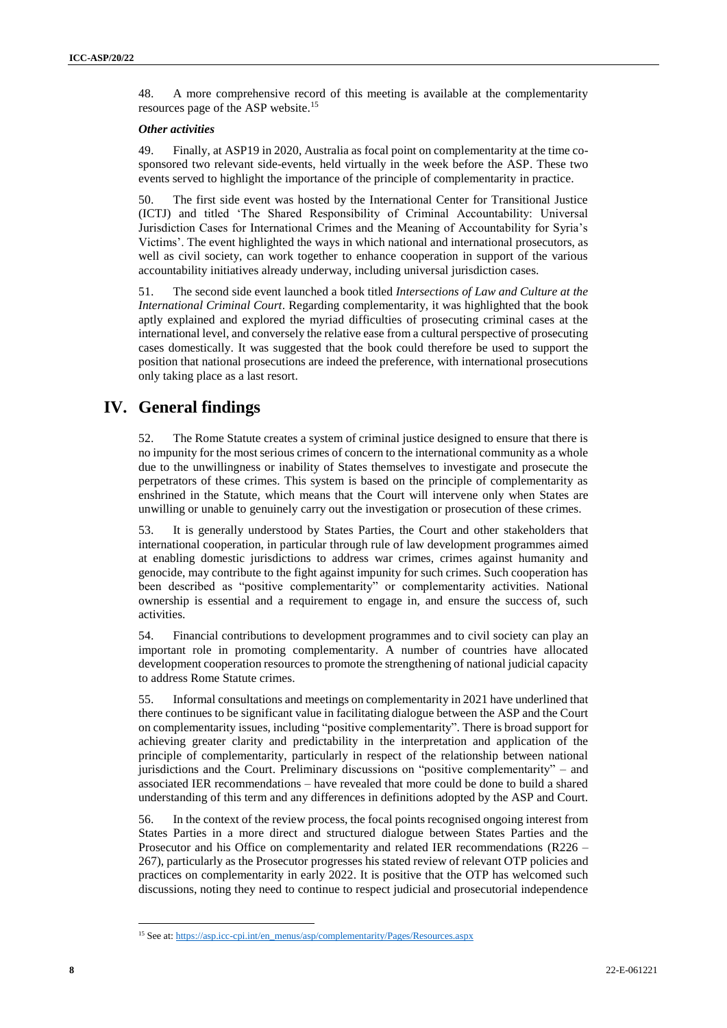48. A more comprehensive record of this meeting is available at the complementarity resources page of the ASP website.<sup>15</sup>

#### *Other activities*

49. Finally, at ASP19 in 2020, Australia as focal point on complementarity at the time cosponsored two relevant side-events, held virtually in the week before the ASP. These two events served to highlight the importance of the principle of complementarity in practice.

50. The first side event was hosted by the International Center for Transitional Justice (ICTJ) and titled 'The Shared Responsibility of Criminal Accountability: Universal Jurisdiction Cases for International Crimes and the Meaning of Accountability for Syria's Victims'. The event highlighted the ways in which national and international prosecutors, as well as civil society, can work together to enhance cooperation in support of the various accountability initiatives already underway, including universal jurisdiction cases.

51. The second side event launched a book titled *Intersections of Law and Culture at the International Criminal Court*. Regarding complementarity, it was highlighted that the book aptly explained and explored the myriad difficulties of prosecuting criminal cases at the international level, and conversely the relative ease from a cultural perspective of prosecuting cases domestically. It was suggested that the book could therefore be used to support the position that national prosecutions are indeed the preference, with international prosecutions only taking place as a last resort.

# **IV. General findings**

52. The Rome Statute creates a system of criminal justice designed to ensure that there is no impunity for the most serious crimes of concern to the international community as a whole due to the unwillingness or inability of States themselves to investigate and prosecute the perpetrators of these crimes. This system is based on the principle of complementarity as enshrined in the Statute, which means that the Court will intervene only when States are unwilling or unable to genuinely carry out the investigation or prosecution of these crimes.

53. It is generally understood by States Parties, the Court and other stakeholders that international cooperation, in particular through rule of law development programmes aimed at enabling domestic jurisdictions to address war crimes, crimes against humanity and genocide, may contribute to the fight against impunity for such crimes. Such cooperation has been described as "positive complementarity" or complementarity activities. National ownership is essential and a requirement to engage in, and ensure the success of, such activities.

54. Financial contributions to development programmes and to civil society can play an important role in promoting complementarity. A number of countries have allocated development cooperation resources to promote the strengthening of national judicial capacity to address Rome Statute crimes.

55. Informal consultations and meetings on complementarity in 2021 have underlined that there continues to be significant value in facilitating dialogue between the ASP and the Court on complementarity issues, including "positive complementarity". There is broad support for achieving greater clarity and predictability in the interpretation and application of the principle of complementarity, particularly in respect of the relationship between national jurisdictions and the Court. Preliminary discussions on "positive complementarity" – and associated IER recommendations – have revealed that more could be done to build a shared understanding of this term and any differences in definitions adopted by the ASP and Court.

56. In the context of the review process, the focal points recognised ongoing interest from States Parties in a more direct and structured dialogue between States Parties and the Prosecutor and his Office on complementarity and related IER recommendations (R226 – 267), particularly as the Prosecutor progresses his stated review of relevant OTP policies and practices on complementarity in early 2022. It is positive that the OTP has welcomed such discussions, noting they need to continue to respect judicial and prosecutorial independence

<sup>15</sup> See at[: https://asp.icc-cpi.int/en\\_menus/asp/complementarity/Pages/Resources.aspx](https://asp.icc-cpi.int/en_menus/asp/complementarity/Pages/Resources.aspx)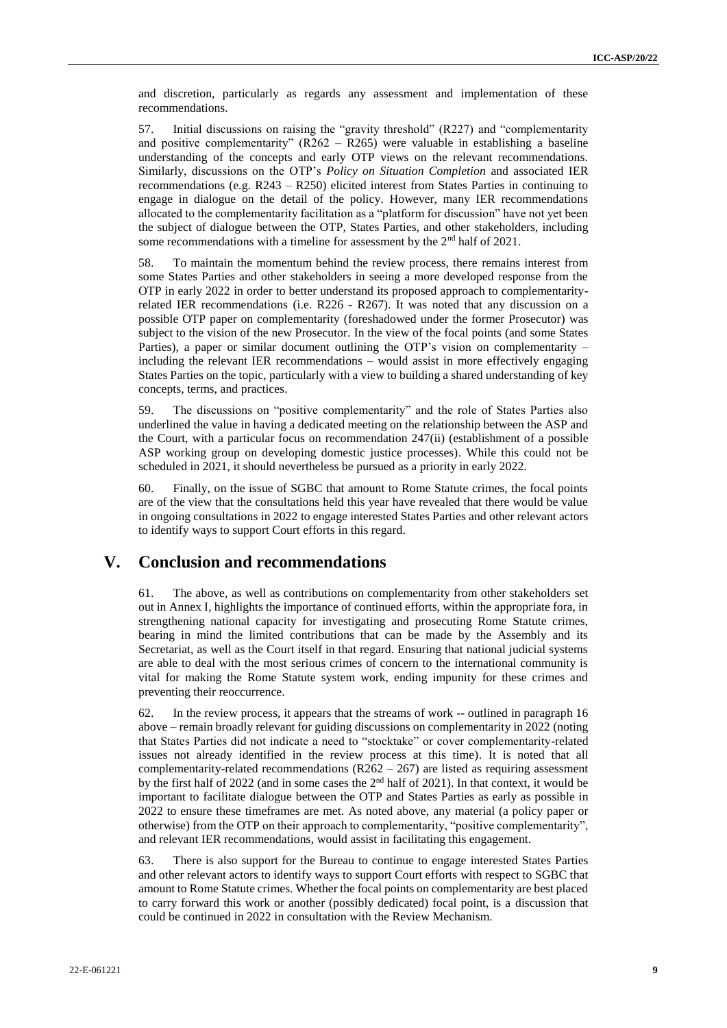and discretion, particularly as regards any assessment and implementation of these recommendations.

57. Initial discussions on raising the "gravity threshold" (R227) and "complementarity and positive complementarity" (R262 – R265) were valuable in establishing a baseline understanding of the concepts and early OTP views on the relevant recommendations. Similarly, discussions on the OTP's *Policy on Situation Completion* and associated IER recommendations (e.g. R243 – R250) elicited interest from States Parties in continuing to engage in dialogue on the detail of the policy. However, many IER recommendations allocated to the complementarity facilitation as a "platform for discussion" have not yet been the subject of dialogue between the OTP, States Parties, and other stakeholders, including some recommendations with a timeline for assessment by the 2<sup>nd</sup> half of 2021.

58. To maintain the momentum behind the review process, there remains interest from some States Parties and other stakeholders in seeing a more developed response from the OTP in early 2022 in order to better understand its proposed approach to complementarityrelated IER recommendations (i.e. R226 - R267). It was noted that any discussion on a possible OTP paper on complementarity (foreshadowed under the former Prosecutor) was subject to the vision of the new Prosecutor. In the view of the focal points (and some States Parties), a paper or similar document outlining the OTP's vision on complementarity – including the relevant IER recommendations – would assist in more effectively engaging States Parties on the topic, particularly with a view to building a shared understanding of key concepts, terms, and practices.

59. The discussions on "positive complementarity" and the role of States Parties also underlined the value in having a dedicated meeting on the relationship between the ASP and the Court, with a particular focus on recommendation 247(ii) (establishment of a possible ASP working group on developing domestic justice processes). While this could not be scheduled in 2021, it should nevertheless be pursued as a priority in early 2022.

60. Finally, on the issue of SGBC that amount to Rome Statute crimes, the focal points are of the view that the consultations held this year have revealed that there would be value in ongoing consultations in 2022 to engage interested States Parties and other relevant actors to identify ways to support Court efforts in this regard.

### **V. Conclusion and recommendations**

61. The above, as well as contributions on complementarity from other stakeholders set out in Annex I, highlights the importance of continued efforts, within the appropriate fora, in strengthening national capacity for investigating and prosecuting Rome Statute crimes, bearing in mind the limited contributions that can be made by the Assembly and its Secretariat, as well as the Court itself in that regard. Ensuring that national judicial systems are able to deal with the most serious crimes of concern to the international community is vital for making the Rome Statute system work, ending impunity for these crimes and preventing their reoccurrence.

62. In the review process, it appears that the streams of work -- outlined in paragraph 16 above – remain broadly relevant for guiding discussions on complementarity in 2022 (noting that States Parties did not indicate a need to "stocktake" or cover complementarity-related issues not already identified in the review process at this time). It is noted that all complementarity-related recommendations  $(R262 - 267)$  are listed as requiring assessment by the first half of 2022 (and in some cases the 2nd half of 2021). In that context, it would be important to facilitate dialogue between the OTP and States Parties as early as possible in 2022 to ensure these timeframes are met. As noted above, any material (a policy paper or otherwise) from the OTP on their approach to complementarity, "positive complementarity", and relevant IER recommendations, would assist in facilitating this engagement.

63. There is also support for the Bureau to continue to engage interested States Parties and other relevant actors to identify ways to support Court efforts with respect to SGBC that amount to Rome Statute crimes. Whether the focal points on complementarity are best placed to carry forward this work or another (possibly dedicated) focal point, is a discussion that could be continued in 2022 in consultation with the Review Mechanism.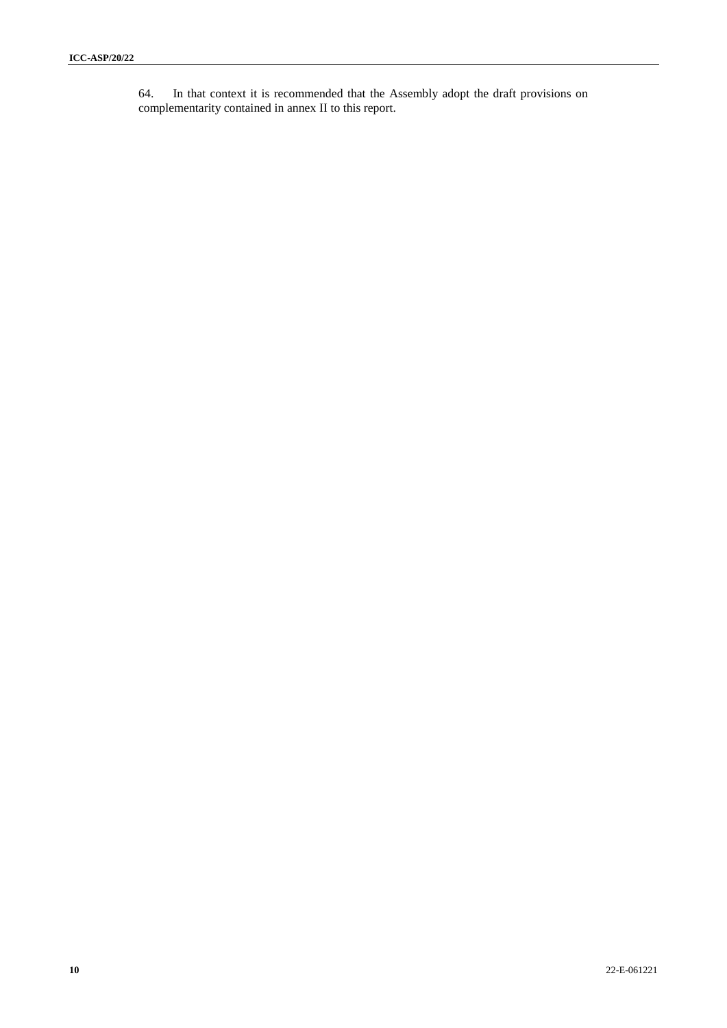64. In that context it is recommended that the Assembly adopt the draft provisions on complementarity contained in annex II to this report.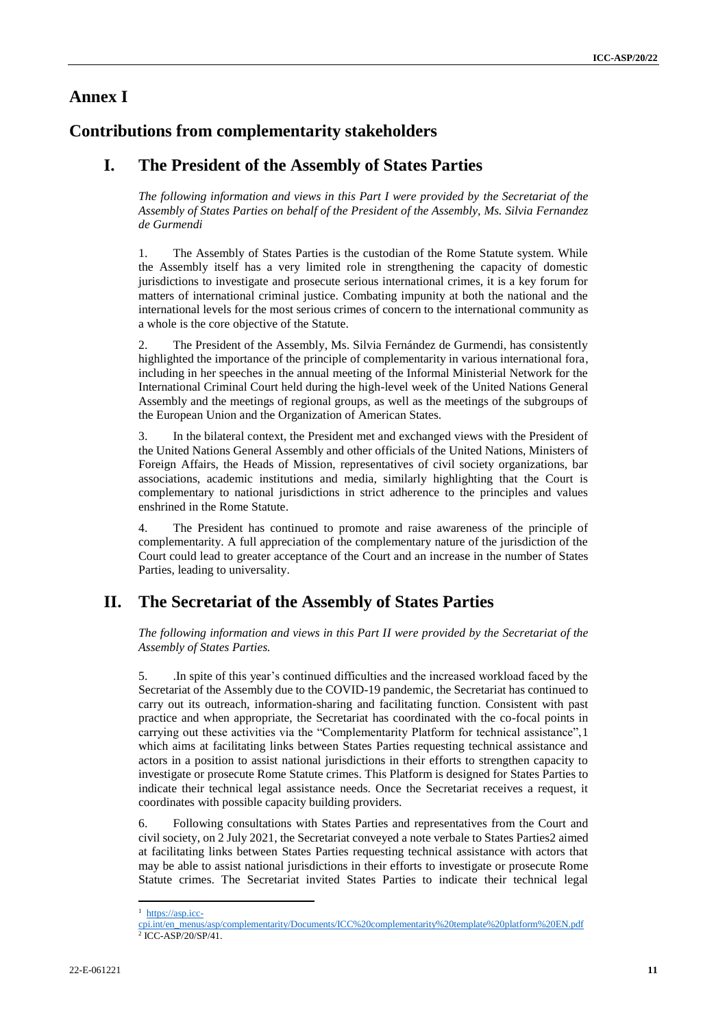### **Annex I**

# **Contributions from complementarity stakeholders**

# **I. The President of the Assembly of States Parties**

*The following information and views in this Part I were provided by the Secretariat of the Assembly of States Parties on behalf of the President of the Assembly, Ms. Silvia Fernandez de Gurmendi*

1. The Assembly of States Parties is the custodian of the Rome Statute system. While the Assembly itself has a very limited role in strengthening the capacity of domestic jurisdictions to investigate and prosecute serious international crimes, it is a key forum for matters of international criminal justice. Combating impunity at both the national and the international levels for the most serious crimes of concern to the international community as a whole is the core objective of the Statute.

2. The President of the Assembly, Ms. Silvia Fernández de Gurmendi, has consistently highlighted the importance of the principle of complementarity in various international fora, including in her speeches in the annual meeting of the Informal Ministerial Network for the International Criminal Court held during the high-level week of the United Nations General Assembly and the meetings of regional groups, as well as the meetings of the subgroups of the European Union and the Organization of American States.

3. In the bilateral context, the President met and exchanged views with the President of the United Nations General Assembly and other officials of the United Nations, Ministers of Foreign Affairs, the Heads of Mission, representatives of civil society organizations, bar associations, academic institutions and media, similarly highlighting that the Court is complementary to national jurisdictions in strict adherence to the principles and values enshrined in the Rome Statute.

4. The President has continued to promote and raise awareness of the principle of complementarity. A full appreciation of the complementary nature of the jurisdiction of the Court could lead to greater acceptance of the Court and an increase in the number of States Parties, leading to universality.

# **II. The Secretariat of the Assembly of States Parties**

*The following information and views in this Part II were provided by the Secretariat of the Assembly of States Parties.* 

5. .In spite of this year's continued difficulties and the increased workload faced by the Secretariat of the Assembly due to the COVID-19 pandemic, the Secretariat has continued to carry out its outreach, information-sharing and facilitating function. Consistent with past practice and when appropriate, the Secretariat has coordinated with the co-focal points in carrying out these activities via the "Complementarity Platform for technical assistance",1 which aims at facilitating links between States Parties requesting technical assistance and actors in a position to assist national jurisdictions in their efforts to strengthen capacity to investigate or prosecute Rome Statute crimes. This Platform is designed for States Parties to indicate their technical legal assistance needs. Once the Secretariat receives a request, it coordinates with possible capacity building providers.

6. Following consultations with States Parties and representatives from the Court and civil society, on 2 July 2021, the Secretariat conveyed a note verbale to States Parties2 aimed at facilitating links between States Parties requesting technical assistance with actors that may be able to assist national jurisdictions in their efforts to investigate or prosecute Rome Statute crimes. The Secretariat invited States Parties to indicate their technical legal

 $\overline{\phantom{a}}$ <sup>1</sup> [https://asp.icc-](https://asp.icc-cpi.int/en_menus/asp/complementarity/Documents/ICC%20complementarity%20template%20platform%20EN.pdf)

[cpi.int/en\\_menus/asp/complementarity/Documents/ICC%20complementarity%20template%20platform%20EN.pdf](https://asp.icc-cpi.int/en_menus/asp/complementarity/Documents/ICC%20complementarity%20template%20platform%20EN.pdf) 2 ICC-ASP/20/SP/41.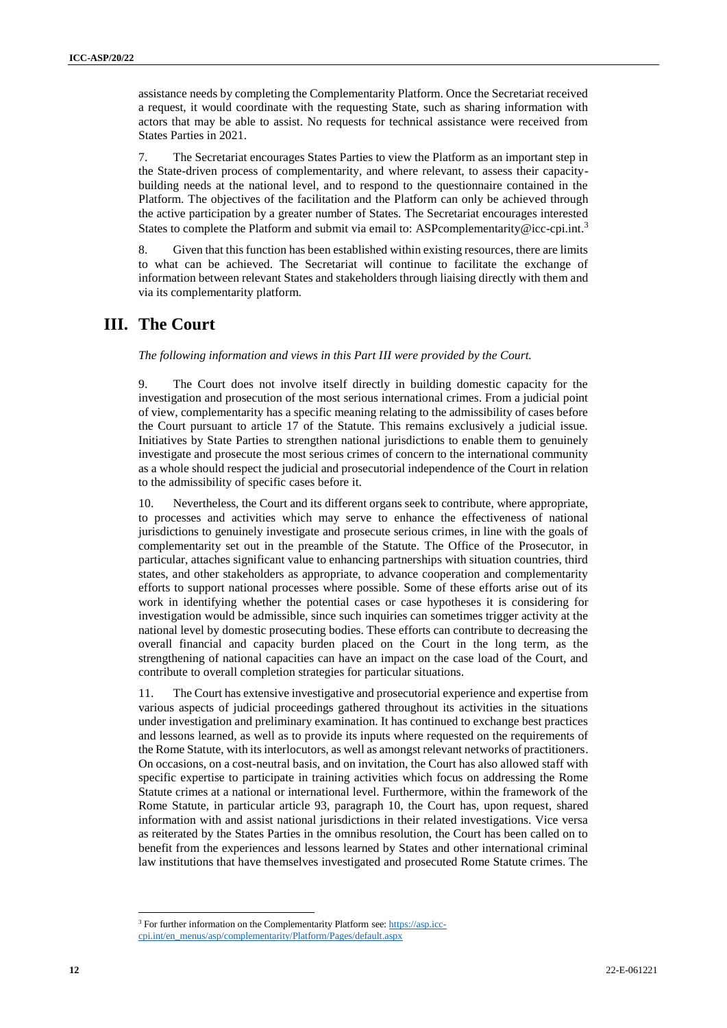assistance needs by completing the Complementarity Platform. Once the Secretariat received a request, it would coordinate with the requesting State, such as sharing information with actors that may be able to assist. No requests for technical assistance were received from States Parties in 2021.

7. The Secretariat encourages States Parties to view the Platform as an important step in the State-driven process of complementarity, and where relevant, to assess their capacitybuilding needs at the national level, and to respond to the questionnaire contained in the Platform. The objectives of the facilitation and the Platform can only be achieved through the active participation by a greater number of States. The Secretariat encourages interested States to complete the Platform and submit via email to: [ASPcomplementarity@icc-cpi.int.](mailto:ASPcomplementarity@icc-cpi.int)<sup>3</sup>

8. Given that this function has been established within existing resources, there are limits to what can be achieved. The Secretariat will continue to facilitate the exchange of information between relevant States and stakeholders through liaising directly with them and via its complementarity platform.

# **III. The Court**

*The following information and views in this Part III were provided by the Court.* 

9. The Court does not involve itself directly in building domestic capacity for the investigation and prosecution of the most serious international crimes. From a judicial point of view, complementarity has a specific meaning relating to the admissibility of cases before the Court pursuant to article 17 of the Statute. This remains exclusively a judicial issue. Initiatives by State Parties to strengthen national jurisdictions to enable them to genuinely investigate and prosecute the most serious crimes of concern to the international community as a whole should respect the judicial and prosecutorial independence of the Court in relation to the admissibility of specific cases before it.

10. Nevertheless, the Court and its different organs seek to contribute, where appropriate, to processes and activities which may serve to enhance the effectiveness of national jurisdictions to genuinely investigate and prosecute serious crimes, in line with the goals of complementarity set out in the preamble of the Statute. The Office of the Prosecutor, in particular, attaches significant value to enhancing partnerships with situation countries, third states, and other stakeholders as appropriate, to advance cooperation and complementarity efforts to support national processes where possible. Some of these efforts arise out of its work in identifying whether the potential cases or case hypotheses it is considering for investigation would be admissible, since such inquiries can sometimes trigger activity at the national level by domestic prosecuting bodies. These efforts can contribute to decreasing the overall financial and capacity burden placed on the Court in the long term, as the strengthening of national capacities can have an impact on the case load of the Court, and contribute to overall completion strategies for particular situations.

11. The Court has extensive investigative and prosecutorial experience and expertise from various aspects of judicial proceedings gathered throughout its activities in the situations under investigation and preliminary examination. It has continued to exchange best practices and lessons learned, as well as to provide its inputs where requested on the requirements of the Rome Statute, with its interlocutors, as well as amongst relevant networks of practitioners. On occasions, on a cost-neutral basis, and on invitation, the Court has also allowed staff with specific expertise to participate in training activities which focus on addressing the Rome Statute crimes at a national or international level. Furthermore, within the framework of the Rome Statute, in particular article 93, paragraph 10, the Court has, upon request, shared information with and assist national jurisdictions in their related investigations. Vice versa as reiterated by the States Parties in the omnibus resolution, the Court has been called on to benefit from the experiences and lessons learned by States and other international criminal law institutions that have themselves investigated and prosecuted Rome Statute crimes. The

<sup>&</sup>lt;sup>3</sup> For further information on the Complementarity Platform see[: https://asp.icc-](https://asp.icc-cpi.int/en_menus/asp/complementarity/Platform/Pages/default.aspx)

[cpi.int/en\\_menus/asp/complementarity/Platform/Pages/default.aspx](https://asp.icc-cpi.int/en_menus/asp/complementarity/Platform/Pages/default.aspx)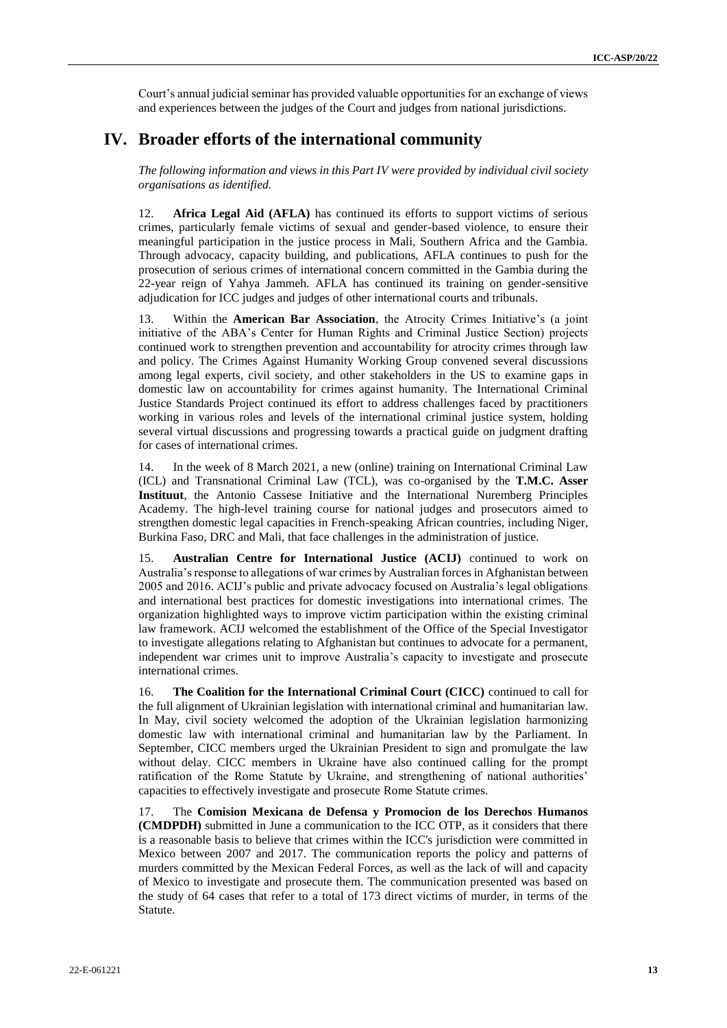Court's annual judicial seminar has provided valuable opportunities for an exchange of views and experiences between the judges of the Court and judges from national jurisdictions.

### **IV. Broader efforts of the international community**

*The following information and views in this Part IV were provided by individual civil society organisations as identified.* 

12. **Africa Legal Aid (AFLA)** has continued its efforts to support victims of serious crimes, particularly female victims of sexual and gender-based violence, to ensure their meaningful participation in the justice process in Mali, Southern Africa and the Gambia. Through advocacy, capacity building, and publications, AFLA continues to push for the prosecution of serious crimes of international concern committed in the Gambia during the 22-year reign of Yahya Jammeh. AFLA has continued its training on gender-sensitive adjudication for ICC judges and judges of other international courts and tribunals.

13. Within the **American Bar Association**, the Atrocity Crimes Initiative's (a joint initiative of the ABA's Center for Human Rights and Criminal Justice Section) projects continued work to strengthen prevention and accountability for atrocity crimes through law and policy. The Crimes Against Humanity Working Group convened several discussions among legal experts, civil society, and other stakeholders in the US to examine gaps in domestic law on accountability for crimes against humanity. The International Criminal Justice Standards Project continued its effort to address challenges faced by practitioners working in various roles and levels of the international criminal justice system, holding several virtual discussions and progressing towards a practical guide on judgment drafting for cases of international crimes.

14. In the week of 8 March 2021, a new (online) training on International Criminal Law (ICL) and Transnational Criminal Law (TCL), was co-organised by the **T.M.C. Asser Instituut**, the Antonio Cassese Initiative and the International Nuremberg Principles Academy. The high-level training course for national judges and prosecutors aimed to strengthen domestic legal capacities in French-speaking African countries, including Niger, Burkina Faso, DRC and Mali, that face challenges in the administration of justice.

15. **Australian Centre for International Justice (ACIJ)** continued to work on Australia's response to allegations of war crimes by Australian forces in Afghanistan between 2005 and 2016. ACIJ's public and private advocacy focused on Australia's legal obligations and international best practices for domestic investigations into international crimes. The organization highlighted ways to improve victim participation within the existing criminal law framework. ACIJ welcomed the establishment of the Office of the Special Investigator to investigate allegations relating to Afghanistan but continues to advocate for a permanent, independent war crimes unit to improve Australia's capacity to investigate and prosecute international crimes.

16. **The Coalition for the International Criminal Court (CICC)** continued to call for the full alignment of Ukrainian legislation with international criminal and humanitarian law. In May, civil society welcomed the adoption of the Ukrainian legislation harmonizing domestic law with international criminal and humanitarian law by the Parliament. In September, CICC members urged the Ukrainian President to sign and promulgate the law without delay. CICC members in Ukraine have also continued calling for the prompt ratification of the Rome Statute by Ukraine, and strengthening of national authorities' capacities to effectively investigate and prosecute Rome Statute crimes.

17. The **Comision Mexicana de Defensa y Promocion de los Derechos Humanos (CMDPDH)** submitted in June a communication to the ICC OTP, as it considers that there is a reasonable basis to believe that crimes within the ICC's jurisdiction were committed in Mexico between 2007 and 2017. The communication reports the policy and patterns of murders committed by the Mexican Federal Forces, as well as the lack of will and capacity of Mexico to investigate and prosecute them. The communication presented was based on the study of 64 cases that refer to a total of 173 direct victims of murder, in terms of the Statute.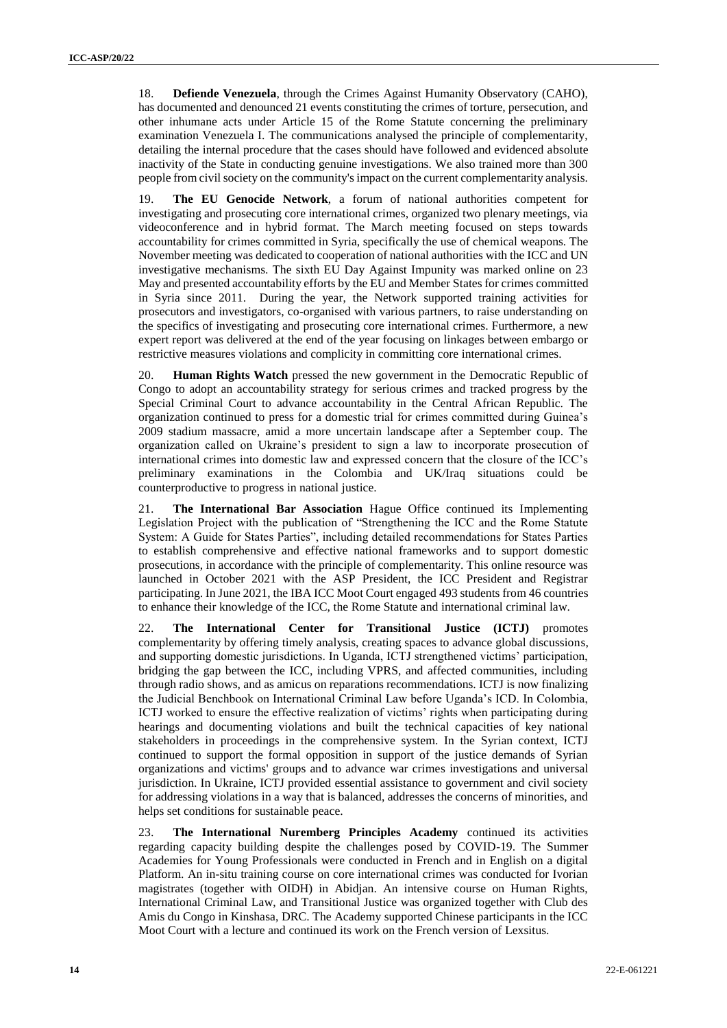18. **Defiende Venezuela**, through the Crimes Against Humanity Observatory (CAHO), has documented and denounced 21 events constituting the crimes of torture, persecution, and other inhumane acts under Article 15 of the Rome Statute concerning the preliminary examination Venezuela I. The communications analysed the principle of complementarity, detailing the internal procedure that the cases should have followed and evidenced absolute inactivity of the State in conducting genuine investigations. We also trained more than 300 people from civil society on the community's impact on the current complementarity analysis.

19. **The EU Genocide Network**, a forum of national authorities competent for investigating and prosecuting core international crimes, organized two plenary meetings, via videoconference and in hybrid format. The March meeting focused on steps towards accountability for crimes committed in Syria, specifically the use of chemical weapons. The November meeting was dedicated to cooperation of national authorities with the ICC and UN investigative mechanisms. The sixth EU Day Against Impunity was marked online on 23 May and presented accountability efforts by the EU and Member States for crimes committed in Syria since 2011. During the year, the Network supported training activities for prosecutors and investigators, co-organised with various partners, to raise understanding on the specifics of investigating and prosecuting core international crimes. Furthermore, a new expert report was delivered at the end of the year focusing on linkages between embargo or restrictive measures violations and complicity in committing core international crimes.

20. **Human Rights Watch** pressed the new government in the Democratic Republic of Congo to adopt an accountability strategy for serious crimes and tracked progress by the Special Criminal Court to advance accountability in the Central African Republic. The organization continued to press for a domestic trial for crimes committed during Guinea's 2009 stadium massacre, amid a more uncertain landscape after a September coup. The organization called on Ukraine's president to sign a law to incorporate prosecution of international crimes into domestic law and expressed concern that the closure of the ICC's preliminary examinations in the Colombia and UK/Iraq situations could be counterproductive to progress in national justice.

21. **The International Bar Association** Hague Office continued its Implementing Legislation Project with the publication of "Strengthening the ICC and the Rome Statute System: A Guide for States Parties", including detailed recommendations for States Parties to establish comprehensive and effective national frameworks and to support domestic prosecutions, in accordance with the principle of complementarity. This online resource was launched in October 2021 with the ASP President, the ICC President and Registrar participating. In June 2021, the IBA ICC Moot Court engaged 493 students from 46 countries to enhance their knowledge of the ICC, the Rome Statute and international criminal law.

22. **The International Center for Transitional Justice (ICTJ)** promotes complementarity by offering timely analysis, creating spaces to advance global discussions, and supporting domestic jurisdictions. In Uganda, ICTJ strengthened victims' participation, bridging the gap between the ICC, including VPRS, and affected communities, including through radio shows, and as amicus on reparations recommendations. ICTJ is now finalizing the Judicial Benchbook on International Criminal Law before Uganda's ICD. In Colombia, ICTJ worked to ensure the effective realization of victims' rights when participating during hearings and documenting violations and built the technical capacities of key national stakeholders in proceedings in the comprehensive system. In the Syrian context, ICTJ continued to support the formal opposition in support of the justice demands of Syrian organizations and victims' groups and to advance war crimes investigations and universal jurisdiction. In Ukraine, ICTJ provided essential assistance to government and civil society for addressing violations in a way that is balanced, addresses the concerns of minorities, and helps set conditions for sustainable peace.

23. **The International Nuremberg Principles Academy** continued its activities regarding capacity building despite the challenges posed by COVID-19. The Summer Academies for Young Professionals were conducted in French and in English on a digital Platform. An in-situ training course on core international crimes was conducted for Ivorian magistrates (together with OIDH) in Abidjan. An intensive course on Human Rights, International Criminal Law, and Transitional Justice was organized together with Club des Amis du Congo in Kinshasa, DRC. The Academy supported Chinese participants in the ICC Moot Court with a lecture and continued its work on the French version of Lexsitus.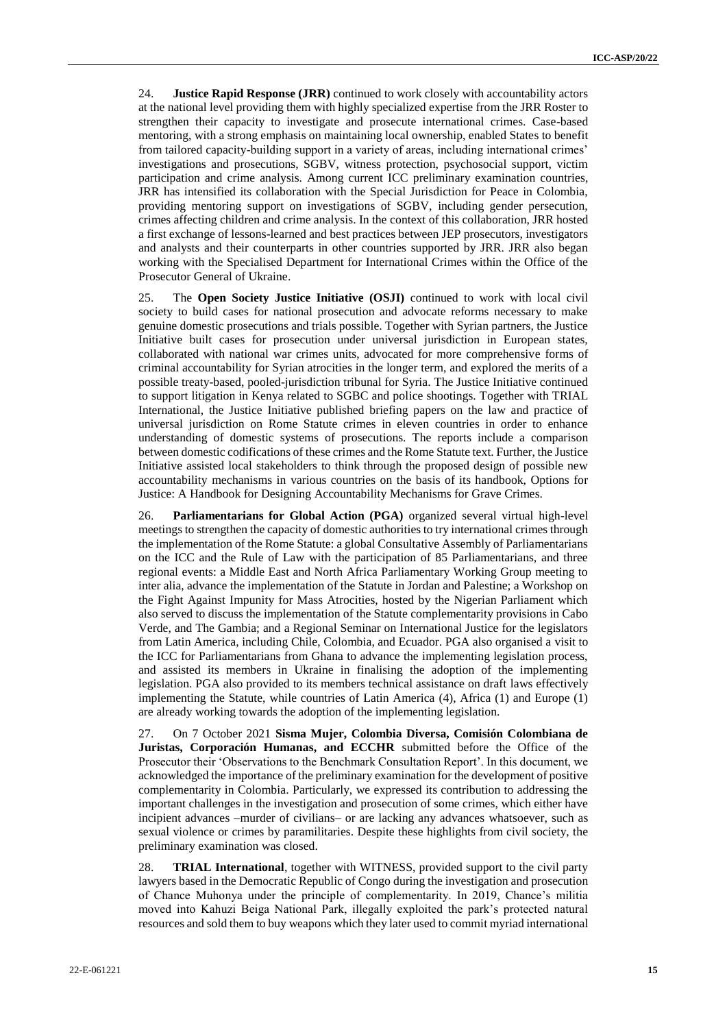24. **Justice Rapid Response (JRR)** continued to work closely with accountability actors at the national level providing them with highly specialized expertise from the JRR Roster to strengthen their capacity to investigate and prosecute international crimes. Case-based mentoring, with a strong emphasis on maintaining local ownership, enabled States to benefit from tailored capacity-building support in a variety of areas, including international crimes' investigations and prosecutions, SGBV, witness protection, psychosocial support, victim participation and crime analysis. Among current ICC preliminary examination countries, JRR has intensified its collaboration with the Special Jurisdiction for Peace in Colombia, providing mentoring support on investigations of SGBV, including gender persecution, crimes affecting children and crime analysis. In the context of this collaboration, JRR hosted a first exchange of lessons-learned and best practices between JEP prosecutors, investigators and analysts and their counterparts in other countries supported by JRR. JRR also began working with the Specialised Department for International Crimes within the Office of the Prosecutor General of Ukraine.

25. The **Open Society Justice Initiative (OSJI)** continued to work with local civil society to build cases for national prosecution and advocate reforms necessary to make genuine domestic prosecutions and trials possible. Together with Syrian partners, the Justice Initiative built cases for prosecution under universal jurisdiction in European states, collaborated with national war crimes units, advocated for more comprehensive forms of criminal accountability for Syrian atrocities in the longer term, and explored the merits of a possible treaty-based, pooled-jurisdiction tribunal for Syria. The Justice Initiative continued to support litigation in Kenya related to SGBC and police shootings. Together with TRIAL International, the Justice Initiative published briefing papers on the law and practice of universal jurisdiction on Rome Statute crimes in eleven countries in order to enhance understanding of domestic systems of prosecutions. The reports include a comparison between domestic codifications of these crimes and the Rome Statute text. Further, the Justice Initiative assisted local stakeholders to think through the proposed design of possible new accountability mechanisms in various countries on the basis of its handbook, Options for Justice: A Handbook for Designing Accountability Mechanisms for Grave Crimes.

26. **Parliamentarians for Global Action (PGA)** organized several virtual high-level meetings to strengthen the capacity of domestic authorities to try international crimes through the implementation of the Rome Statute: a global Consultative Assembly of Parliamentarians on the ICC and the Rule of Law with the participation of 85 Parliamentarians, and three regional events: a Middle East and North Africa Parliamentary Working Group meeting to inter alia, advance the implementation of the Statute in Jordan and Palestine; a Workshop on the Fight Against Impunity for Mass Atrocities, hosted by the Nigerian Parliament which also served to discuss the implementation of the Statute complementarity provisions in Cabo Verde, and The Gambia; and a Regional Seminar on International Justice for the legislators from Latin America, including Chile, Colombia, and Ecuador. PGA also organised a visit to the ICC for Parliamentarians from Ghana to advance the implementing legislation process, and assisted its members in Ukraine in finalising the adoption of the implementing legislation. PGA also provided to its members technical assistance on draft laws effectively implementing the Statute, while countries of Latin America (4), Africa (1) and Europe (1) are already working towards the adoption of the implementing legislation.

27. On 7 October 2021 **Sisma Mujer, Colombia Diversa, Comisión Colombiana de Juristas, Corporación Humanas, and ECCHR** submitted before the Office of the Prosecutor their 'Observations to the Benchmark Consultation Report'. In this document, we acknowledged the importance of the preliminary examination for the development of positive complementarity in Colombia. Particularly, we expressed its contribution to addressing the important challenges in the investigation and prosecution of some crimes, which either have incipient advances –murder of civilians– or are lacking any advances whatsoever, such as sexual violence or crimes by paramilitaries. Despite these highlights from civil society, the preliminary examination was closed.

28. **TRIAL International**, together with WITNESS, provided support to the civil party lawyers based in the Democratic Republic of Congo during the investigation and prosecution of Chance Muhonya under the principle of complementarity. In 2019, Chance's militia moved into Kahuzi Beiga National Park, illegally exploited the park's protected natural resources and sold them to buy weapons which they later used to commit myriad international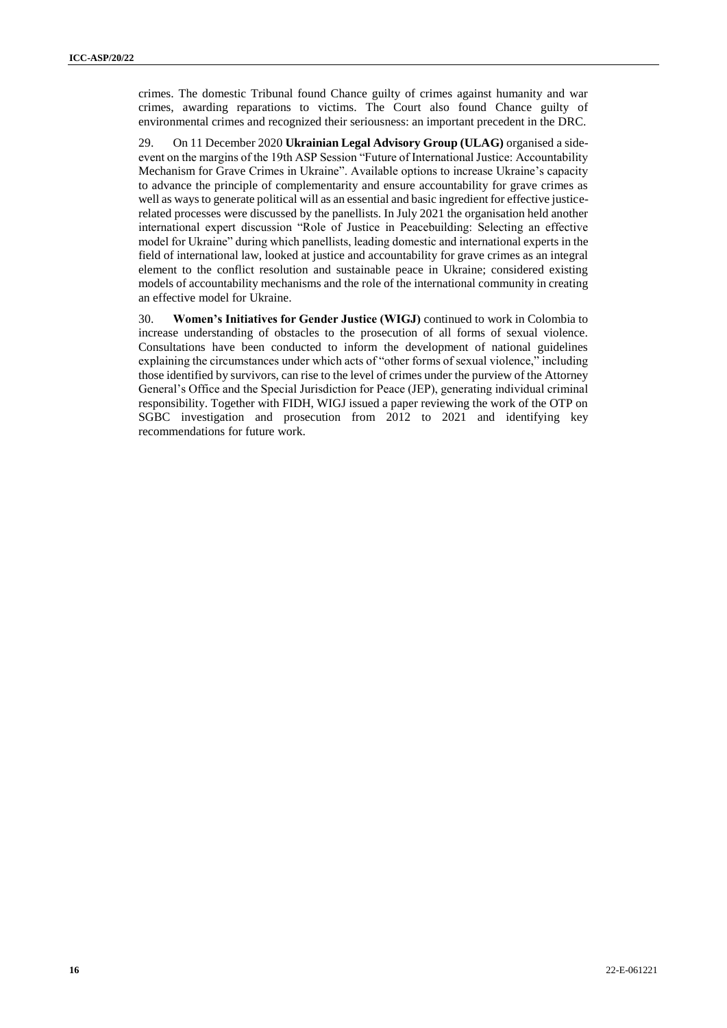crimes. The domestic Tribunal found Chance guilty of crimes against humanity and war crimes, awarding reparations to victims. The Court also found Chance guilty of environmental crimes and recognized their seriousness: an important precedent in the DRC.

29. On 11 December 2020 **Ukrainian Legal Advisory Group (ULAG)** organised a sideevent on the margins of the 19th ASP Session "Future of International Justice: Accountability Mechanism for Grave Crimes in Ukraine". Available options to increase Ukraine's capacity to advance the principle of complementarity and ensure accountability for grave crimes as well as ways to generate political will as an essential and basic ingredient for effective justicerelated processes were discussed by the panellists. In July 2021 the organisation held another international expert discussion "Role of Justice in Peacebuilding: Selecting an effective model for Ukraine" during which panellists, leading domestic and international experts in the field of international law, looked at justice and accountability for grave crimes as an integral element to the conflict resolution and sustainable peace in Ukraine; considered existing models of accountability mechanisms and the role of the international community in creating an effective model for Ukraine.

30. **Women's Initiatives for Gender Justice (WIGJ)** continued to work in Colombia to increase understanding of obstacles to the prosecution of all forms of sexual violence. Consultations have been conducted to inform the development of national guidelines explaining the circumstances under which acts of "other forms of sexual violence," including those identified by survivors, can rise to the level of crimes under the purview of the Attorney General's Office and the Special Jurisdiction for Peace (JEP), generating individual criminal responsibility. Together with FIDH, WIGJ issued a paper reviewing the work of the OTP on SGBC investigation and prosecution from 2012 to 2021 and identifying key recommendations for future work.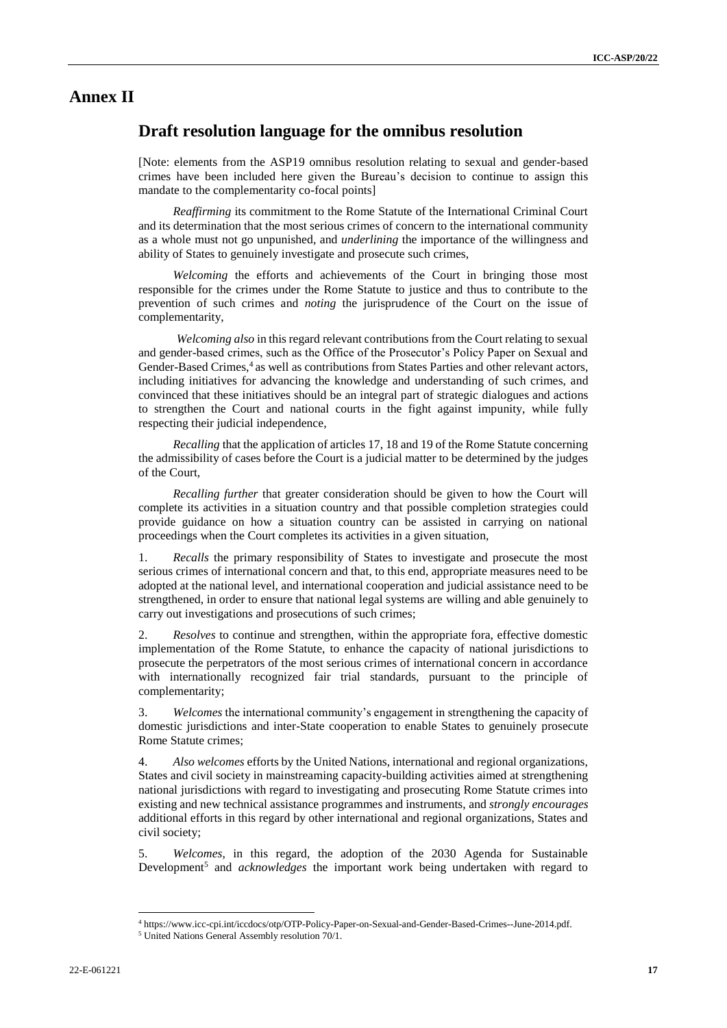### **Annex II**

### **Draft resolution language for the omnibus resolution**

[Note: elements from the ASP19 omnibus resolution relating to sexual and gender-based crimes have been included here given the Bureau's decision to continue to assign this mandate to the complementarity co-focal points]

*Reaffirming* its commitment to the Rome Statute of the International Criminal Court and its determination that the most serious crimes of concern to the international community as a whole must not go unpunished, and *underlining* the importance of the willingness and ability of States to genuinely investigate and prosecute such crimes,

*Welcoming* the efforts and achievements of the Court in bringing those most responsible for the crimes under the Rome Statute to justice and thus to contribute to the prevention of such crimes and *noting* the jurisprudence of the Court on the issue of complementarity,

*Welcoming also* in this regard relevant contributions from the Court relating to sexual and gender-based crimes, such as the Office of the Prosecutor's Policy Paper on Sexual and Gender-Based Crimes,<sup>4</sup> as well as contributions from States Parties and other relevant actors, including initiatives for advancing the knowledge and understanding of such crimes, and convinced that these initiatives should be an integral part of strategic dialogues and actions to strengthen the Court and national courts in the fight against impunity, while fully respecting their judicial independence,

*Recalling* that the application of articles 17, 18 and 19 of the Rome Statute concerning the admissibility of cases before the Court is a judicial matter to be determined by the judges of the Court,

*Recalling further* that greater consideration should be given to how the Court will complete its activities in a situation country and that possible completion strategies could provide guidance on how a situation country can be assisted in carrying on national proceedings when the Court completes its activities in a given situation,

1. *Recalls* the primary responsibility of States to investigate and prosecute the most serious crimes of international concern and that, to this end, appropriate measures need to be adopted at the national level, and international cooperation and judicial assistance need to be strengthened, in order to ensure that national legal systems are willing and able genuinely to carry out investigations and prosecutions of such crimes;

2. *Resolves* to continue and strengthen, within the appropriate fora, effective domestic implementation of the Rome Statute, to enhance the capacity of national jurisdictions to prosecute the perpetrators of the most serious crimes of international concern in accordance with internationally recognized fair trial standards, pursuant to the principle of complementarity;

3. *Welcomes* the international community's engagement in strengthening the capacity of domestic jurisdictions and inter-State cooperation to enable States to genuinely prosecute Rome Statute crimes;

4. *Also welcomes* efforts by the United Nations, international and regional organizations, States and civil society in mainstreaming capacity-building activities aimed at strengthening national jurisdictions with regard to investigating and prosecuting Rome Statute crimes into existing and new technical assistance programmes and instruments, and *strongly encourages*  additional efforts in this regard by other international and regional organizations, States and civil society;

5. *Welcomes*, in this regard, the adoption of the 2030 Agenda for Sustainable Development<sup>5</sup> and *acknowledges* the important work being undertaken with regard to

<sup>4</sup> https://www.icc-cpi.int/iccdocs/otp/OTP-Policy-Paper-on-Sexual-and-Gender-Based-Crimes--June-2014.pdf.

<sup>&</sup>lt;sup>5</sup> United Nations General Assembly resolution 70/1.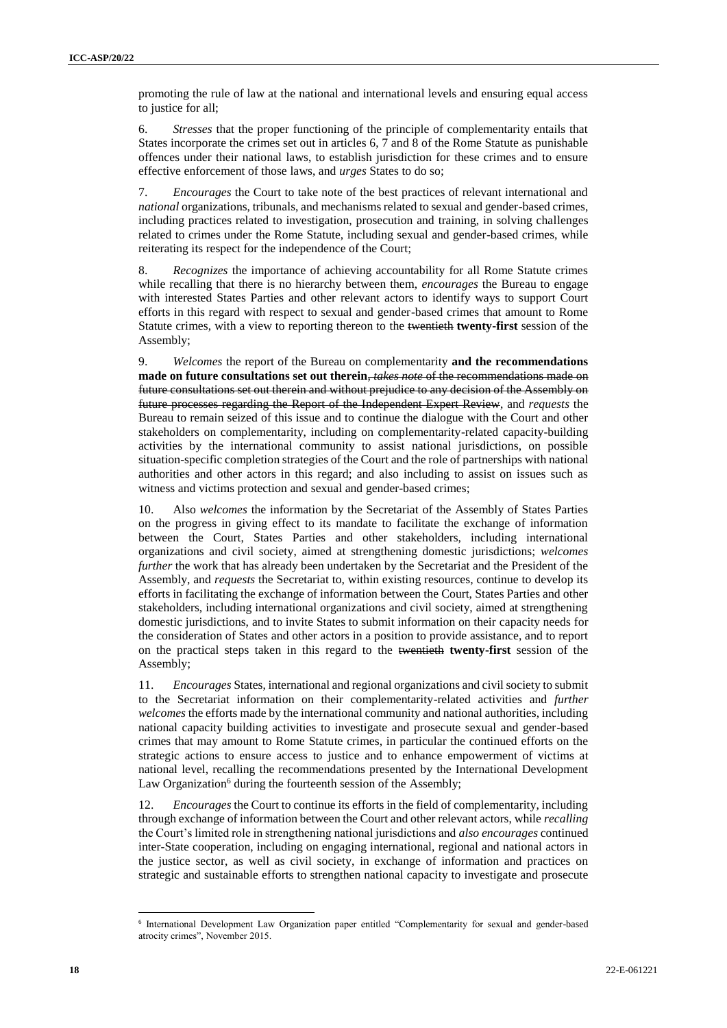promoting the rule of law at the national and international levels and ensuring equal access to justice for all;

6. *Stresses* that the proper functioning of the principle of complementarity entails that States incorporate the crimes set out in articles 6, 7 and 8 of the Rome Statute as punishable offences under their national laws, to establish jurisdiction for these crimes and to ensure effective enforcement of those laws, and *urges* States to do so;

7. *Encourages* the Court to take note of the best practices of relevant international and *national* organizations, tribunals, and mechanisms related to sexual and gender-based crimes, including practices related to investigation, prosecution and training, in solving challenges related to crimes under the Rome Statute, including sexual and gender-based crimes, while reiterating its respect for the independence of the Court;

8. *Recognizes* the importance of achieving accountability for all Rome Statute crimes while recalling that there is no hierarchy between them, *encourages* the Bureau to engage with interested States Parties and other relevant actors to identify ways to support Court efforts in this regard with respect to sexual and gender-based crimes that amount to Rome Statute crimes, with a view to reporting thereon to the twentieth **twenty-first** session of the Assembly;

9. *Welcomes* the report of the Bureau on complementarity **and the recommendations made on future consultations set out therein**, *takes note* of the recommendations made on future consultations set out therein and without prejudice to any decision of the Assembly on future processes regarding the Report of the Independent Expert Review, and *requests* the Bureau to remain seized of this issue and to continue the dialogue with the Court and other stakeholders on complementarity, including on complementarity-related capacity-building activities by the international community to assist national jurisdictions, on possible situation-specific completion strategies of the Court and the role of partnerships with national authorities and other actors in this regard; and also including to assist on issues such as witness and victims protection and sexual and gender-based crimes;

10. Also *welcomes* the information by the Secretariat of the Assembly of States Parties on the progress in giving effect to its mandate to facilitate the exchange of information between the Court, States Parties and other stakeholders, including international organizations and civil society, aimed at strengthening domestic jurisdictions; *welcomes further* the work that has already been undertaken by the Secretariat and the President of the Assembly, and *requests* the Secretariat to, within existing resources, continue to develop its efforts in facilitating the exchange of information between the Court, States Parties and other stakeholders, including international organizations and civil society, aimed at strengthening domestic jurisdictions, and to invite States to submit information on their capacity needs for the consideration of States and other actors in a position to provide assistance, and to report on the practical steps taken in this regard to the twentieth **twenty-first** session of the Assembly;

11. *Encourages* States, international and regional organizations and civil society to submit to the Secretariat information on their complementarity-related activities and *further welcomes* the efforts made by the international community and national authorities, including national capacity building activities to investigate and prosecute sexual and gender-based crimes that may amount to Rome Statute crimes, in particular the continued efforts on the strategic actions to ensure access to justice and to enhance empowerment of victims at national level, recalling the recommendations presented by the International Development Law Organization<sup>6</sup> during the fourteenth session of the Assembly;

12. *Encourages* the Court to continue its efforts in the field of complementarity, including through exchange of information between the Court and other relevant actors, while *recalling* the Court's limited role in strengthening national jurisdictions and *also encourages* continued inter-State cooperation, including on engaging international, regional and national actors in the justice sector, as well as civil society, in exchange of information and practices on strategic and sustainable efforts to strengthen national capacity to investigate and prosecute

<sup>6</sup> International Development Law Organization paper entitled "Complementarity for sexual and gender-based atrocity crimes", November 2015.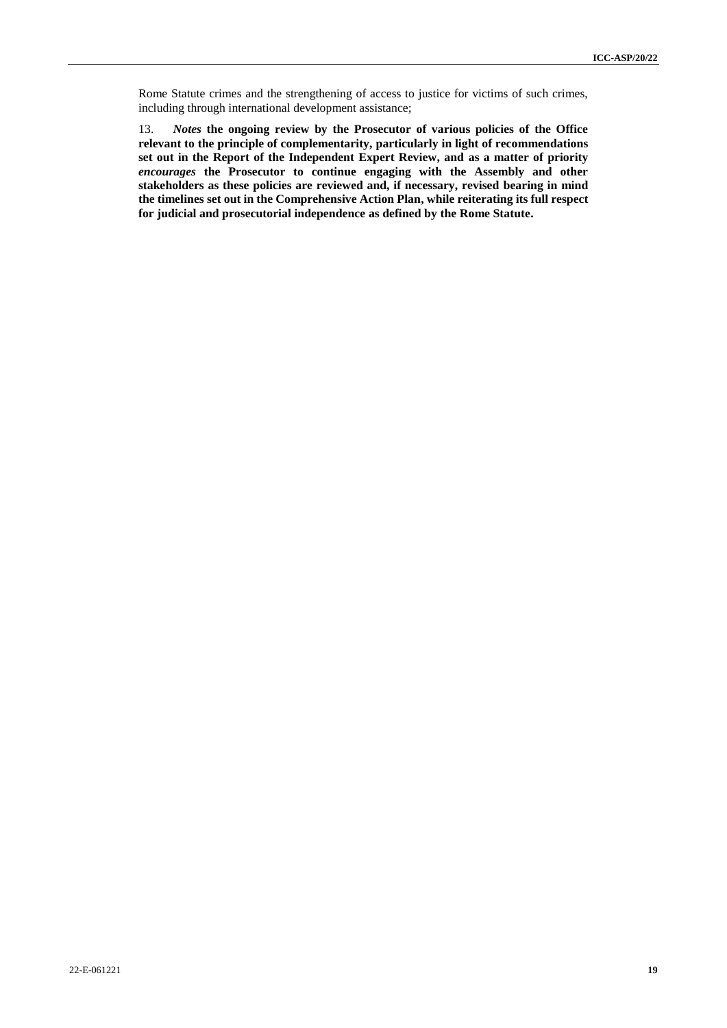Rome Statute crimes and the strengthening of access to justice for victims of such crimes, including through international development assistance;

13. *Notes* **the ongoing review by the Prosecutor of various policies of the Office relevant to the principle of complementarity, particularly in light of recommendations set out in the Report of the Independent Expert Review, and as a matter of priority** *encourages* **the Prosecutor to continue engaging with the Assembly and other stakeholders as these policies are reviewed and, if necessary, revised bearing in mind the timelines set out in the Comprehensive Action Plan, while reiterating its full respect for judicial and prosecutorial independence as defined by the Rome Statute.**